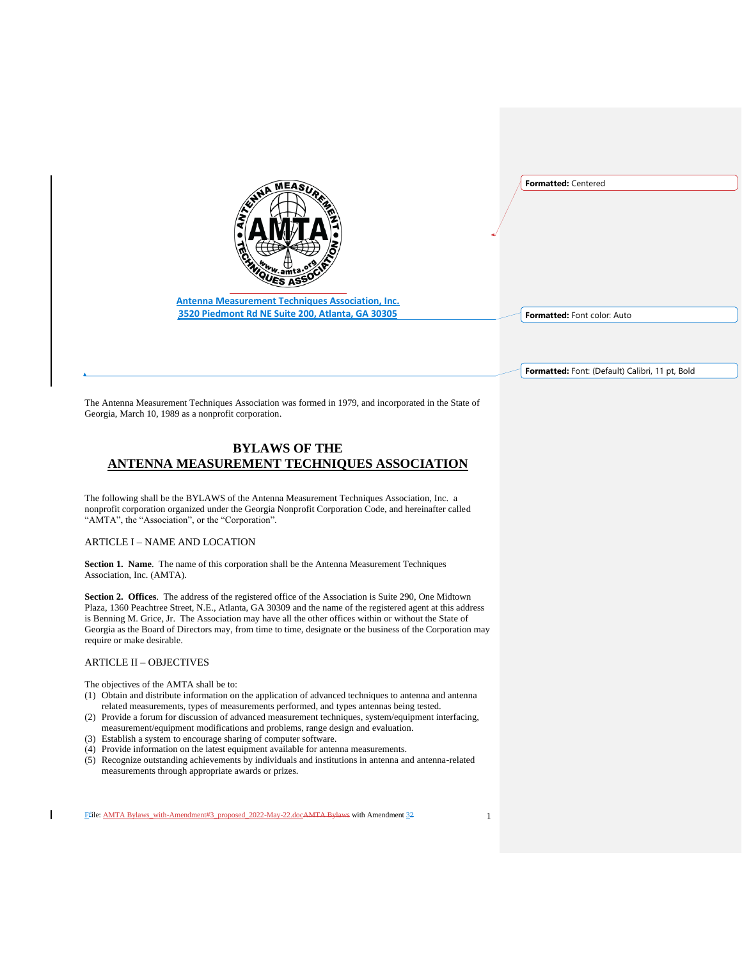



**Antenna Measurement Techniques Association, Inc. 3520 Piedmont Rd NE Suite 200, Atlanta, GA 30305**

**Formatted:** Font color: Auto

**Formatted:** Font: (Default) Calibri, 11 pt, Bold

The Antenna Measurement Techniques Association was formed in 1979, and incorporated in the State of Georgia, March 10, 1989 as a nonprofit corporation.

# **BYLAWS OF THE ANTENNA MEASUREMENT TECHNIQUES ASSOCIATION**

The following shall be the BYLAWS of the Antenna Measurement Techniques Association, Inc. a nonprofit corporation organized under the Georgia Nonprofit Corporation Code, and hereinafter called "AMTA", the "Association", or the "Corporation".

ARTICLE I – NAME AND LOCATION

**Section 1. Name**. The name of this corporation shall be the Antenna Measurement Techniques Association, Inc. (AMTA).

**Section 2. Offices**. The address of the registered office of the Association is Suite 290, One Midtown Plaza, 1360 Peachtree Street, N.E., Atlanta, GA 30309 and the name of the registered agent at this address is Benning M. Grice, Jr. The Association may have all the other offices within or without the State of Georgia as the Board of Directors may, from time to time, designate or the business of the Corporation may require or make desirable.

# ARTICLE II – OBJECTIVES

The objectives of the AMTA shall be to:

- (1) Obtain and distribute information on the application of advanced techniques to antenna and antenna related measurements, types of measurements performed, and types antennas being tested.
- (2) Provide a forum for discussion of advanced measurement techniques, system/equipment interfacing, measurement/equipment modifications and problems, range design and evaluation.
- (3) Establish a system to encourage sharing of computer software.
- (4) Provide information on the latest equipment available for antenna measurements.
- (5) Recognize outstanding achievements by individuals and institutions in antenna and antenna-related measurements through appropriate awards or prizes.

Ffile: AMTA Bylaws\_with-Amendment#3\_proposed\_2022-May-22.docAMTA Bylaws with Amendment 32 1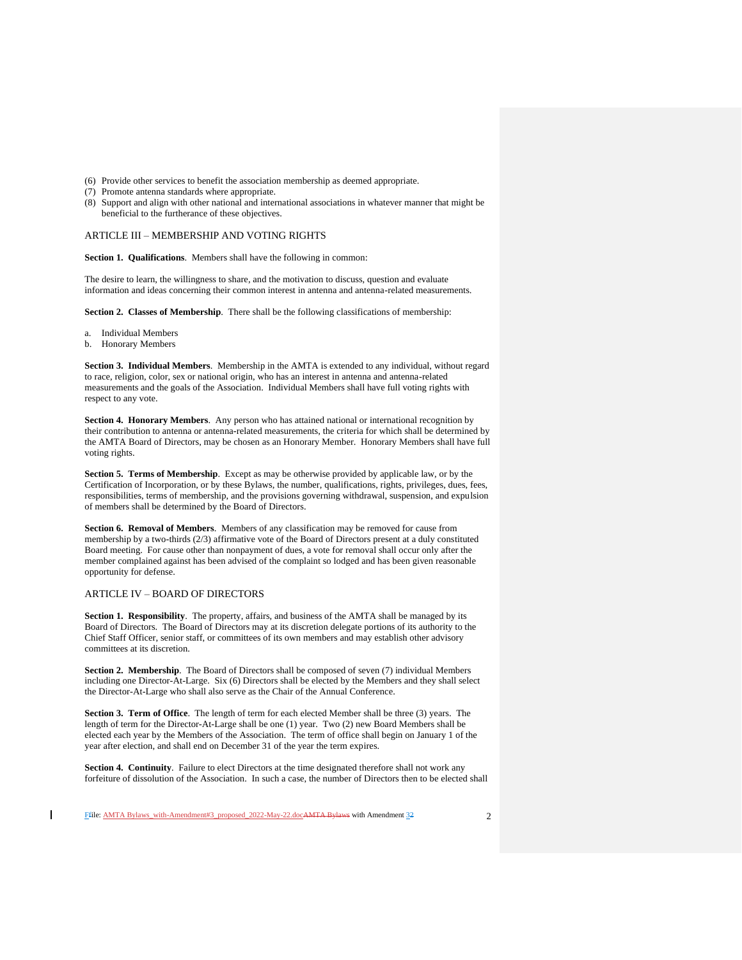- (6) Provide other services to benefit the association membership as deemed appropriate.
- (7) Promote antenna standards where appropriate.
- (8) Support and align with other national and international associations in whatever manner that might be beneficial to the furtherance of these objectives.

#### ARTICLE III – MEMBERSHIP AND VOTING RIGHTS

### **Section 1. Qualifications**. Members shall have the following in common:

The desire to learn, the willingness to share, and the motivation to discuss, question and evaluate information and ideas concerning their common interest in antenna and antenna-related measurements.

**Section 2. Classes of Membership**. There shall be the following classifications of membership:

- a. Individual Members
- b. Honorary Members

**Section 3. Individual Members**. Membership in the AMTA is extended to any individual, without regard to race, religion, color, sex or national origin, who has an interest in antenna and antenna-related measurements and the goals of the Association. Individual Members shall have full voting rights with respect to any vote.

**Section 4. Honorary Members**. Any person who has attained national or international recognition by their contribution to antenna or antenna-related measurements, the criteria for which shall be determined by the AMTA Board of Directors, may be chosen as an Honorary Member. Honorary Members shall have full voting rights.

**Section 5. Terms of Membership**. Except as may be otherwise provided by applicable law, or by the Certification of Incorporation, or by these Bylaws, the number, qualifications, rights, privileges, dues, fees, responsibilities, terms of membership, and the provisions governing withdrawal, suspension, and expulsion of members shall be determined by the Board of Directors.

**Section 6. Removal of Members**. Members of any classification may be removed for cause from membership by a two-thirds (2/3) affirmative vote of the Board of Directors present at a duly constituted Board meeting. For cause other than nonpayment of dues, a vote for removal shall occur only after the member complained against has been advised of the complaint so lodged and has been given reasonable opportunity for defense.

# ARTICLE IV – BOARD OF DIRECTORS

 $\mathbf{I}$ 

**Section 1. Responsibility**. The property, affairs, and business of the AMTA shall be managed by its Board of Directors. The Board of Directors may at its discretion delegate portions of its authority to the Chief Staff Officer, senior staff, or committees of its own members and may establish other advisory committees at its discretion.

**Section 2. Membership**. The Board of Directors shall be composed of seven (7) individual Members including one Director-At-Large. Six (6) Directors shall be elected by the Members and they shall select the Director-At-Large who shall also serve as the Chair of the Annual Conference.

**Section 3. Term of Office**. The length of term for each elected Member shall be three (3) years. The length of term for the Director-At-Large shall be one (1) year. Two (2) new Board Members shall be elected each year by the Members of the Association. The term of office shall begin on January 1 of the year after election, and shall end on December 31 of the year the term expires.

**Section 4. Continuity**. Failure to elect Directors at the time designated therefore shall not work any forfeiture of dissolution of the Association. In such a case, the number of Directors then to be elected shall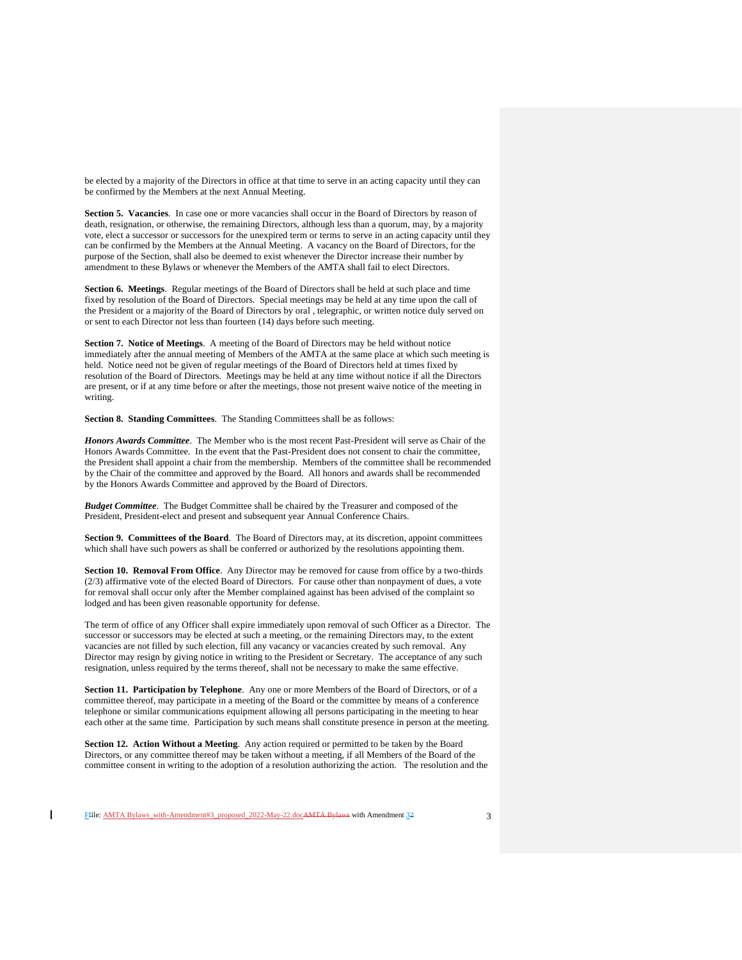be elected by a majority of the Directors in office at that time to serve in an acting capacity until they can be confirmed by the Members at the next Annual Meeting.

**Section 5. Vacancies**. In case one or more vacancies shall occur in the Board of Directors by reason of death, resignation, or otherwise, the remaining Directors, although less than a quorum, may, by a majority vote, elect a successor or successors for the unexpired term or terms to serve in an acting capacity until they can be confirmed by the Members at the Annual Meeting. A vacancy on the Board of Directors, for the purpose of the Section, shall also be deemed to exist whenever the Director increase their number by amendment to these Bylaws or whenever the Members of the AMTA shall fail to elect Directors.

**Section 6. Meetings**. Regular meetings of the Board of Directors shall be held at such place and time fixed by resolution of the Board of Directors. Special meetings may be held at any time upon the call of the President or a majority of the Board of Directors by oral , telegraphic, or written notice duly served on or sent to each Director not less than fourteen (14) days before such meeting.

**Section 7. Notice of Meetings**. A meeting of the Board of Directors may be held without notice immediately after the annual meeting of Members of the AMTA at the same place at which such meeting is held. Notice need not be given of regular meetings of the Board of Directors held at times fixed by resolution of the Board of Directors. Meetings may be held at any time without notice if all the Directors are present, or if at any time before or after the meetings, those not present waive notice of the meeting in writing.

**Section 8. Standing Committees**. The Standing Committees shall be as follows:

*Honors Awards Committee*. The Member who is the most recent Past-President will serve as Chair of the Honors Awards Committee. In the event that the Past-President does not consent to chair the committee, the President shall appoint a chair from the membership. Members of the committee shall be recommended by the Chair of the committee and approved by the Board. All honors and awards shall be recommended by the Honors Awards Committee and approved by the Board of Directors.

*Budget Committee*. The Budget Committee shall be chaired by the Treasurer and composed of the President, President-elect and present and subsequent year Annual Conference Chairs.

**Section 9. Committees of the Board**. The Board of Directors may, at its discretion, appoint committees which shall have such powers as shall be conferred or authorized by the resolutions appointing them.

**Section 10. Removal From Office**. Any Director may be removed for cause from office by a two-thirds (2/3) affirmative vote of the elected Board of Directors. For cause other than nonpayment of dues, a vote for removal shall occur only after the Member complained against has been advised of the complaint so lodged and has been given reasonable opportunity for defense.

The term of office of any Officer shall expire immediately upon removal of such Officer as a Director. The successor or successors may be elected at such a meeting, or the remaining Directors may, to the extent vacancies are not filled by such election, fill any vacancy or vacancies created by such removal. Any Director may resign by giving notice in writing to the President or Secretary. The acceptance of any such resignation, unless required by the terms thereof, shall not be necessary to make the same effective.

**Section 11. Participation by Telephone**. Any one or more Members of the Board of Directors, or of a committee thereof, may participate in a meeting of the Board or the committee by means of a conference telephone or similar communications equipment allowing all persons participating in the meeting to hear each other at the same time. Participation by such means shall constitute presence in person at the meeting.

**Section 12. Action Without a Meeting**. Any action required or permitted to be taken by the Board Directors, or any committee thereof may be taken without a meeting, if all Members of the Board of the committee consent in writing to the adoption of a resolution authorizing the action. The resolution and the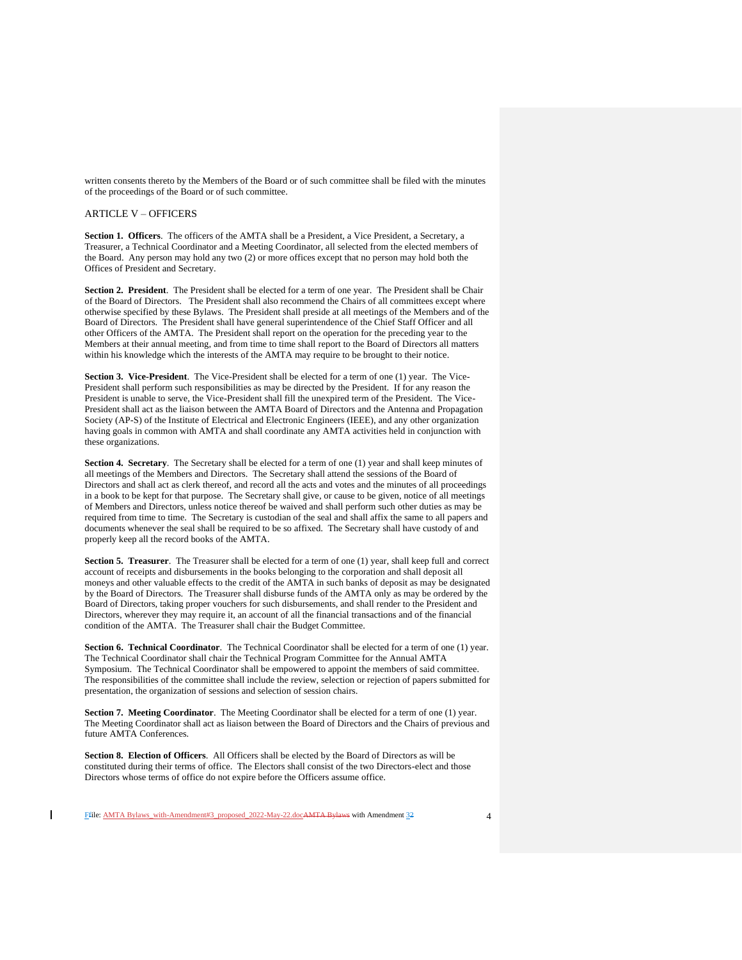written consents thereto by the Members of the Board or of such committee shall be filed with the minutes of the proceedings of the Board or of such committee.

# ARTICLE V – OFFICERS

**Section 1. Officers**. The officers of the AMTA shall be a President, a Vice President, a Secretary, a Treasurer, a Technical Coordinator and a Meeting Coordinator, all selected from the elected members of the Board. Any person may hold any two (2) or more offices except that no person may hold both the Offices of President and Secretary.

**Section 2. President**. The President shall be elected for a term of one year. The President shall be Chair of the Board of Directors. The President shall also recommend the Chairs of all committees except where otherwise specified by these Bylaws. The President shall preside at all meetings of the Members and of the Board of Directors. The President shall have general superintendence of the Chief Staff Officer and all other Officers of the AMTA. The President shall report on the operation for the preceding year to the Members at their annual meeting, and from time to time shall report to the Board of Directors all matters within his knowledge which the interests of the AMTA may require to be brought to their notice.

**Section 3. Vice-President**. The Vice-President shall be elected for a term of one (1) year. The Vice-President shall perform such responsibilities as may be directed by the President. If for any reason the President is unable to serve, the Vice-President shall fill the unexpired term of the President. The Vice-President shall act as the liaison between the AMTA Board of Directors and the Antenna and Propagation Society (AP-S) of the Institute of Electrical and Electronic Engineers (IEEE), and any other organization having goals in common with AMTA and shall coordinate any AMTA activities held in conjunction with these organizations.

**Section 4. Secretary**. The Secretary shall be elected for a term of one (1) year and shall keep minutes of all meetings of the Members and Directors. The Secretary shall attend the sessions of the Board of Directors and shall act as clerk thereof, and record all the acts and votes and the minutes of all proceedings in a book to be kept for that purpose. The Secretary shall give, or cause to be given, notice of all meetings of Members and Directors, unless notice thereof be waived and shall perform such other duties as may be required from time to time. The Secretary is custodian of the seal and shall affix the same to all papers and documents whenever the seal shall be required to be so affixed. The Secretary shall have custody of and properly keep all the record books of the AMTA.

**Section 5. Treasurer**. The Treasurer shall be elected for a term of one (1) year, shall keep full and correct account of receipts and disbursements in the books belonging to the corporation and shall deposit all moneys and other valuable effects to the credit of the AMTA in such banks of deposit as may be designated by the Board of Directors. The Treasurer shall disburse funds of the AMTA only as may be ordered by the Board of Directors, taking proper vouchers for such disbursements, and shall render to the President and Directors, wherever they may require it, an account of all the financial transactions and of the financial condition of the AMTA. The Treasurer shall chair the Budget Committee.

**Section 6. Technical Coordinator**. The Technical Coordinator shall be elected for a term of one (1) year. The Technical Coordinator shall chair the Technical Program Committee for the Annual AMTA Symposium. The Technical Coordinator shall be empowered to appoint the members of said committee. The responsibilities of the committee shall include the review, selection or rejection of papers submitted for presentation, the organization of sessions and selection of session chairs.

**Section 7. Meeting Coordinator**. The Meeting Coordinator shall be elected for a term of one (1) year. The Meeting Coordinator shall act as liaison between the Board of Directors and the Chairs of previous and future AMTA Conferences.

Section 8. Election of Officers. All Officers shall be elected by the Board of Directors as will be constituted during their terms of office. The Electors shall consist of the two Directors-elect and those Directors whose terms of office do not expire before the Officers assume office.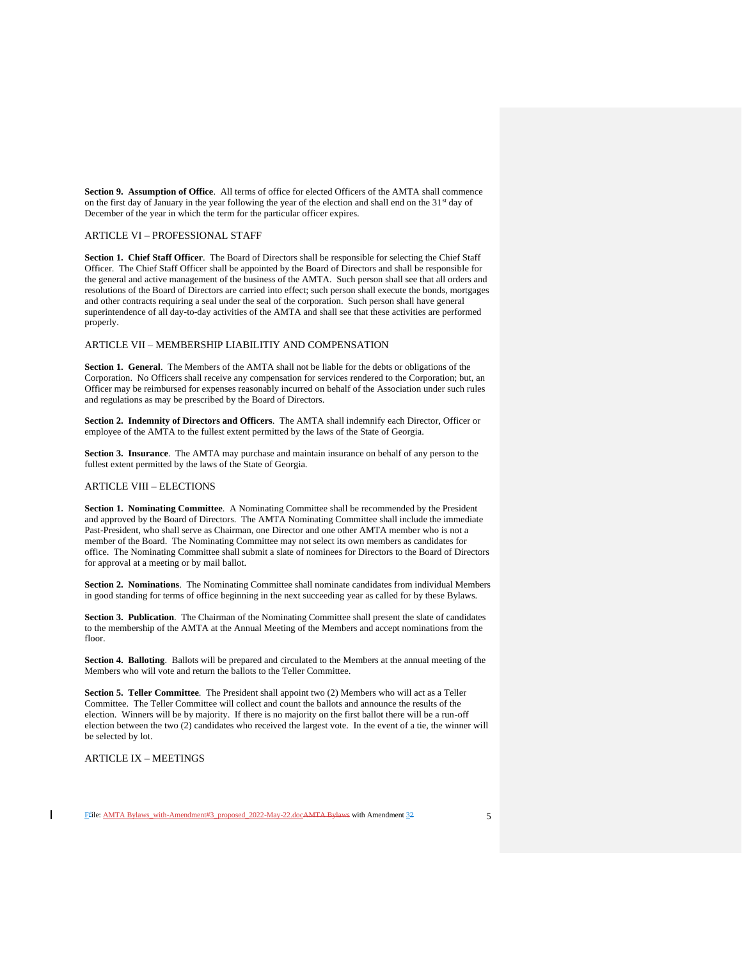**Section 9. Assumption of Office**. All terms of office for elected Officers of the AMTA shall commence on the first day of January in the year following the year of the election and shall end on the 31<sup>st</sup> day of December of the year in which the term for the particular officer expires.

#### ARTICLE VI – PROFESSIONAL STAFF

**Section 1. Chief Staff Officer**. The Board of Directors shall be responsible for selecting the Chief Staff Officer. The Chief Staff Officer shall be appointed by the Board of Directors and shall be responsible for the general and active management of the business of the AMTA. Such person shall see that all orders and resolutions of the Board of Directors are carried into effect; such person shall execute the bonds, mortgages and other contracts requiring a seal under the seal of the corporation. Such person shall have general superintendence of all day-to-day activities of the AMTA and shall see that these activities are performed properly.

### ARTICLE VII – MEMBERSHIP LIABILITIY AND COMPENSATION

**Section 1. General**. The Members of the AMTA shall not be liable for the debts or obligations of the Corporation. No Officers shall receive any compensation for services rendered to the Corporation; but, an Officer may be reimbursed for expenses reasonably incurred on behalf of the Association under such rules and regulations as may be prescribed by the Board of Directors.

**Section 2. Indemnity of Directors and Officers**. The AMTA shall indemnify each Director, Officer or employee of the AMTA to the fullest extent permitted by the laws of the State of Georgia.

**Section 3. Insurance**. The AMTA may purchase and maintain insurance on behalf of any person to the fullest extent permitted by the laws of the State of Georgia.

# ARTICLE VIII – ELECTIONS

**Section 1. Nominating Committee**. A Nominating Committee shall be recommended by the President and approved by the Board of Directors. The AMTA Nominating Committee shall include the immediate Past-President, who shall serve as Chairman, one Director and one other AMTA member who is not a member of the Board. The Nominating Committee may not select its own members as candidates for office. The Nominating Committee shall submit a slate of nominees for Directors to the Board of Directors for approval at a meeting or by mail ballot.

**Section 2. Nominations**. The Nominating Committee shall nominate candidates from individual Members in good standing for terms of office beginning in the next succeeding year as called for by these Bylaws.

**Section 3. Publication**. The Chairman of the Nominating Committee shall present the slate of candidates to the membership of the AMTA at the Annual Meeting of the Members and accept nominations from the floor.

**Section 4. Balloting**. Ballots will be prepared and circulated to the Members at the annual meeting of the Members who will vote and return the ballots to the Teller Committee.

**Section 5. Teller Committee**. The President shall appoint two (2) Members who will act as a Teller Committee. The Teller Committee will collect and count the ballots and announce the results of the election. Winners will be by majority. If there is no majority on the first ballot there will be a run-off election between the two (2) candidates who received the largest vote. In the event of a tie, the winner will be selected by lot.

ARTICLE IX – MEETINGS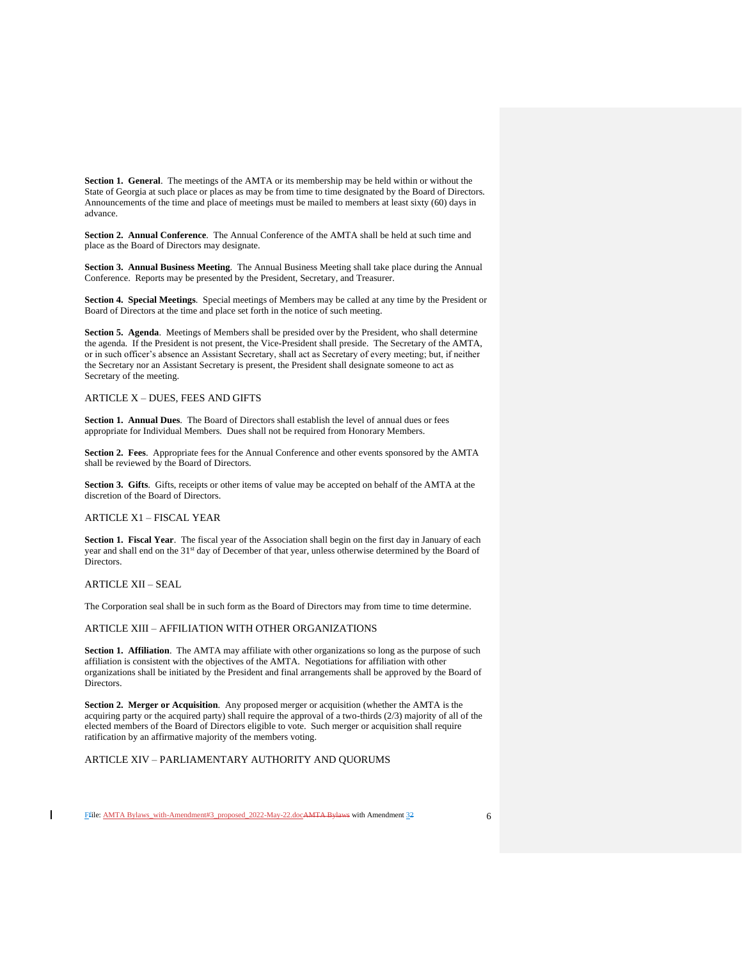**Section 1. General**. The meetings of the AMTA or its membership may be held within or without the State of Georgia at such place or places as may be from time to time designated by the Board of Directors. Announcements of the time and place of meetings must be mailed to members at least sixty (60) days in advance.

**Section 2. Annual Conference**. The Annual Conference of the AMTA shall be held at such time and place as the Board of Directors may designate.

**Section 3. Annual Business Meeting**. The Annual Business Meeting shall take place during the Annual Conference. Reports may be presented by the President, Secretary, and Treasurer.

**Section 4. Special Meetings**. Special meetings of Members may be called at any time by the President or Board of Directors at the time and place set forth in the notice of such meeting.

**Section 5. Agenda**. Meetings of Members shall be presided over by the President, who shall determine the agenda. If the President is not present, the Vice-President shall preside. The Secretary of the AMTA, or in such officer's absence an Assistant Secretary, shall act as Secretary of every meeting; but, if neither the Secretary nor an Assistant Secretary is present, the President shall designate someone to act as Secretary of the meeting.

# ARTICLE X – DUES, FEES AND GIFTS

**Section 1. Annual Dues**. The Board of Directors shall establish the level of annual dues or fees appropriate for Individual Members. Dues shall not be required from Honorary Members.

**Section 2. Fees**. Appropriate fees for the Annual Conference and other events sponsored by the AMTA shall be reviewed by the Board of Directors.

**Section 3. Gifts**. Gifts, receipts or other items of value may be accepted on behalf of the AMTA at the discretion of the Board of Directors.

# ARTICLE X1 – FISCAL YEAR

**Section 1. Fiscal Year**. The fiscal year of the Association shall begin on the first day in January of each year and shall end on the 31st day of December of that year, unless otherwise determined by the Board of Directors.

### ARTICLE XII – SEAL

 $\mathbf{I}$ 

The Corporation seal shall be in such form as the Board of Directors may from time to time determine.

# ARTICLE XIII – AFFILIATION WITH OTHER ORGANIZATIONS

**Section 1. Affiliation**. The AMTA may affiliate with other organizations so long as the purpose of such affiliation is consistent with the objectives of the AMTA. Negotiations for affiliation with other organizations shall be initiated by the President and final arrangements shall be approved by the Board of Directors.

**Section 2. Merger or Acquisition**. Any proposed merger or acquisition (whether the AMTA is the acquiring party or the acquired party) shall require the approval of a two-thirds (2/3) majority of all of the elected members of the Board of Directors eligible to vote. Such merger or acquisition shall require ratification by an affirmative majority of the members voting.

ARTICLE XIV – PARLIAMENTARY AUTHORITY AND QUORUMS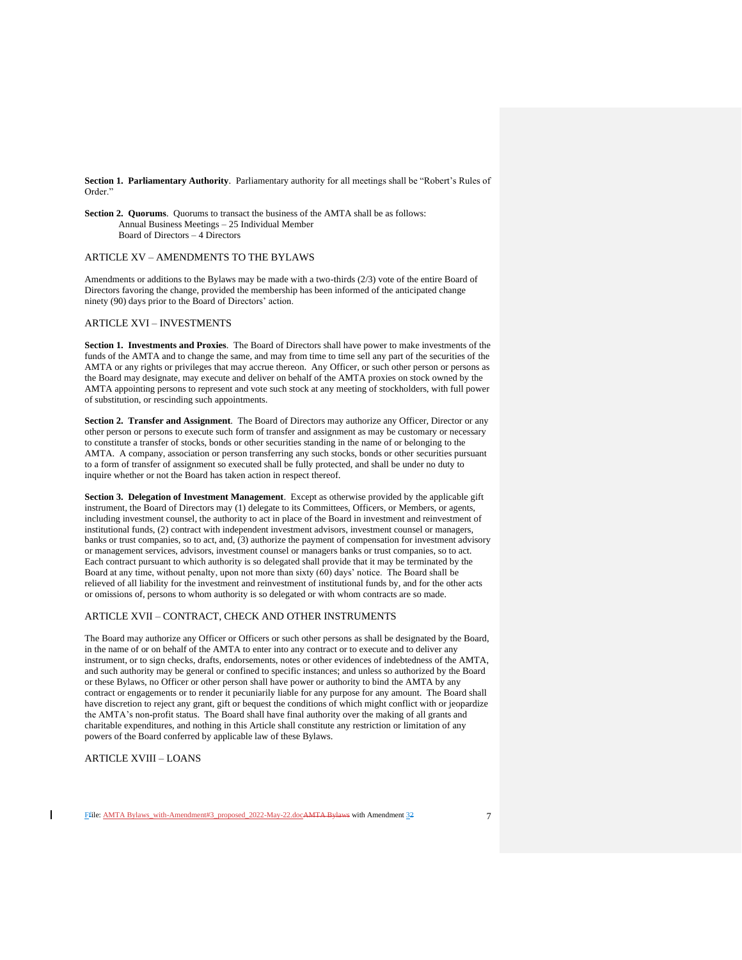**Section 1. Parliamentary Authority**. Parliamentary authority for all meetings shall be "Robert's Rules of Order<sup>"</sup>

**Section 2. Quorums**. Quorums to transact the business of the AMTA shall be as follows: Annual Business Meetings – 25 Individual Member Board of Directors – 4 Directors

# ARTICLE XV – AMENDMENTS TO THE BYLAWS

Amendments or additions to the Bylaws may be made with a two-thirds (2/3) vote of the entire Board of Directors favoring the change, provided the membership has been informed of the anticipated change ninety (90) days prior to the Board of Directors' action.

# ARTICLE XVI – INVESTMENTS

**Section 1. Investments and Proxies**. The Board of Directors shall have power to make investments of the funds of the AMTA and to change the same, and may from time to time sell any part of the securities of the AMTA or any rights or privileges that may accrue thereon. Any Officer, or such other person or persons as the Board may designate, may execute and deliver on behalf of the AMTA proxies on stock owned by the AMTA appointing persons to represent and vote such stock at any meeting of stockholders, with full power of substitution, or rescinding such appointments.

**Section 2. Transfer and Assignment**. The Board of Directors may authorize any Officer, Director or any other person or persons to execute such form of transfer and assignment as may be customary or necessary to constitute a transfer of stocks, bonds or other securities standing in the name of or belonging to the AMTA. A company, association or person transferring any such stocks, bonds or other securities pursuant to a form of transfer of assignment so executed shall be fully protected, and shall be under no duty to inquire whether or not the Board has taken action in respect thereof.

**Section 3. Delegation of Investment Management**. Except as otherwise provided by the applicable gift instrument, the Board of Directors may (1) delegate to its Committees, Officers, or Members, or agents, including investment counsel, the authority to act in place of the Board in investment and reinvestment of institutional funds, (2) contract with independent investment advisors, investment counsel or managers, banks or trust companies, so to act, and, (3) authorize the payment of compensation for investment advisory or management services, advisors, investment counsel or managers banks or trust companies, so to act. Each contract pursuant to which authority is so delegated shall provide that it may be terminated by the Board at any time, without penalty, upon not more than sixty (60) days' notice. The Board shall be relieved of all liability for the investment and reinvestment of institutional funds by, and for the other acts or omissions of, persons to whom authority is so delegated or with whom contracts are so made.

### ARTICLE XVII – CONTRACT, CHECK AND OTHER INSTRUMENTS

The Board may authorize any Officer or Officers or such other persons as shall be designated by the Board, in the name of or on behalf of the AMTA to enter into any contract or to execute and to deliver any instrument, or to sign checks, drafts, endorsements, notes or other evidences of indebtedness of the AMTA, and such authority may be general or confined to specific instances; and unless so authorized by the Board or these Bylaws, no Officer or other person shall have power or authority to bind the AMTA by any contract or engagements or to render it pecuniarily liable for any purpose for any amount. The Board shall have discretion to reject any grant, gift or bequest the conditions of which might conflict with or jeopardize the AMTA's non-profit status. The Board shall have final authority over the making of all grants and charitable expenditures, and nothing in this Article shall constitute any restriction or limitation of any powers of the Board conferred by applicable law of these Bylaws.

ARTICLE XVIII – LOANS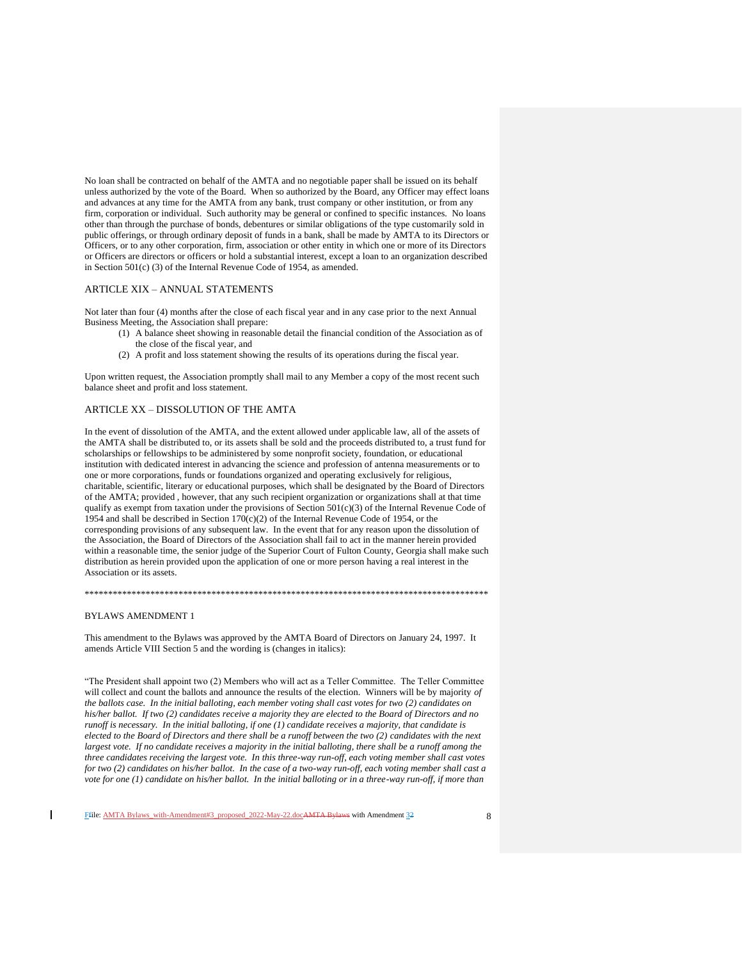No loan shall be contracted on behalf of the AMTA and no negotiable paper shall be issued on its behalf unless authorized by the vote of the Board. When so authorized by the Board, any Officer may effect loans and advances at any time for the AMTA from any bank, trust company or other institution, or from any firm, corporation or individual. Such authority may be general or confined to specific instances. No loans other than through the purchase of bonds, debentures or similar obligations of the type customarily sold in public offerings, or through ordinary deposit of funds in a bank, shall be made by AMTA to its Directors or Officers, or to any other corporation, firm, association or other entity in which one or more of its Directors or Officers are directors or officers or hold a substantial interest, except a loan to an organization described in Section 501(c) (3) of the Internal Revenue Code of 1954, as amended.

# ARTICLE XIX – ANNUAL STATEMENTS

Not later than four (4) months after the close of each fiscal year and in any case prior to the next Annual Business Meeting, the Association shall prepare:

- (1) A balance sheet showing in reasonable detail the financial condition of the Association as of the close of the fiscal year, and
- (2) A profit and loss statement showing the results of its operations during the fiscal year.

Upon written request, the Association promptly shall mail to any Member a copy of the most recent such balance sheet and profit and loss statement.

## ARTICLE XX – DISSOLUTION OF THE AMTA

In the event of dissolution of the AMTA, and the extent allowed under applicable law, all of the assets of the AMTA shall be distributed to, or its assets shall be sold and the proceeds distributed to, a trust fund for scholarships or fellowships to be administered by some nonprofit society, foundation, or educational institution with dedicated interest in advancing the science and profession of antenna measurements or to one or more corporations, funds or foundations organized and operating exclusively for religious, charitable, scientific, literary or educational purposes, which shall be designated by the Board of Directors of the AMTA; provided , however, that any such recipient organization or organizations shall at that time qualify as exempt from taxation under the provisions of Section  $501(c)(3)$  of the Internal Revenue Code of 1954 and shall be described in Section 170 $(c)(2)$  of the Internal Revenue Code of 1954, or the corresponding provisions of any subsequent law. In the event that for any reason upon the dissolution of the Association, the Board of Directors of the Association shall fail to act in the manner herein provided within a reasonable time, the senior judge of the Superior Court of Fulton County, Georgia shall make such distribution as herein provided upon the application of one or more person having a real interest in the Association or its assets.

#### BYLAWS AMENDMENT 1

 $\mathbf{I}$ 

This amendment to the Bylaws was approved by the AMTA Board of Directors on January 24, 1997. It amends Article VIII Section 5 and the wording is (changes in italics):

\*\*\*\*\*\*\*\*\*\*\*\*\*\*\*\*\*\*\*\*\*\*\*\*\*\*\*\*\*\*\*\*\*\*\*\*\*\*\*\*\*\*\*\*\*\*\*\*\*\*\*\*\*\*\*\*\*\*\*\*\*\*\*\*\*\*\*\*\*\*\*\*\*\*\*\*\*\*\*\*\*\*\*\*\*\*

"The President shall appoint two (2) Members who will act as a Teller Committee. The Teller Committee will collect and count the ballots and announce the results of the election. Winners will be by majority *of the ballots case. In the initial balloting, each member voting shall cast votes for two (2) candidates on his/her ballot. If two (2) candidates receive a majority they are elected to the Board of Directors and no runoff is necessary. In the initial balloting, if one (1) candidate receives a majority, that candidate is elected to the Board of Directors and there shall be a runoff between the two (2) candidates with the next largest vote. If no candidate receives a majority in the initial balloting, there shall be a runoff among the three candidates receiving the largest vote. In this three-way run-off, each voting member shall cast votes for two (2) candidates on his/her ballot. In the case of a two-way run-off, each voting member shall cast a vote for one (1) candidate on his/her ballot. In the initial balloting or in a three-way run-off, if more than*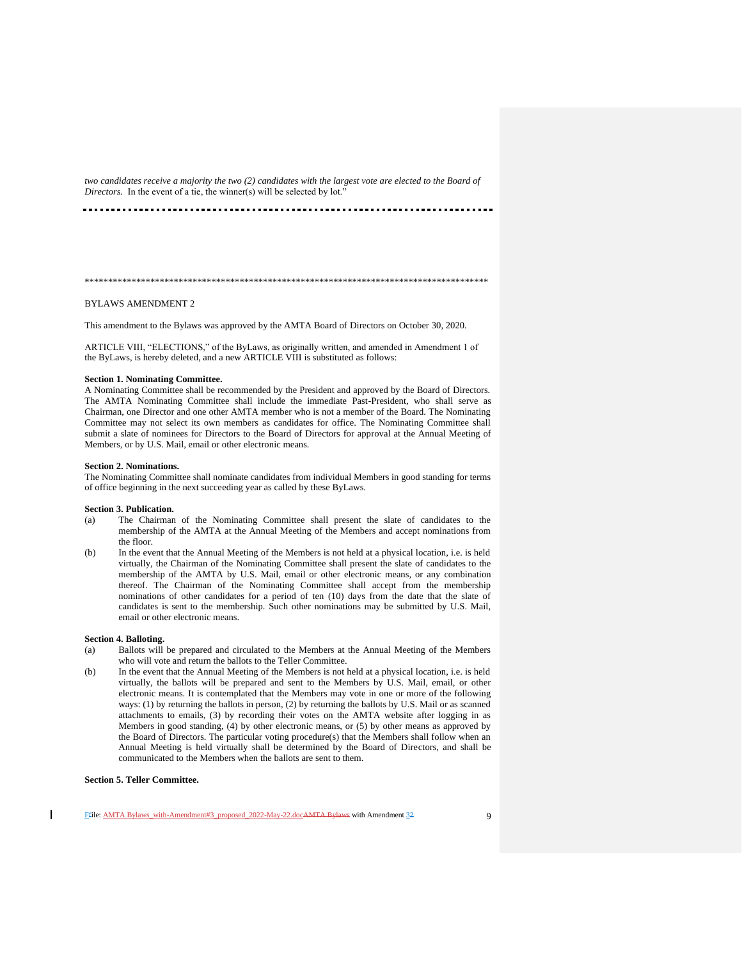*two candidates receive a majority the two (2) candidates with the largest vote are elected to the Board of Directors.* In the event of a tie, the winner(s) will be selected by lot."

\*\*\*\*\*\*\*\*\*\*\*\*\*\*\*\*\*\*\*\*\*\*\*\*\*\*\*\*\*\*\*\*\*\*\*\*\*\*\*\*\*\*\*\*\*\*\*\*\*\*\*\*\*\*\*\*\*\*\*\*\*\*\*\*\*\*\*\*\*\*\*\*\*\*\*\*\*\*\*\*\*\*\*\*\*\*

#### BYLAWS AMENDMENT 2

This amendment to the Bylaws was approved by the AMTA Board of Directors on October 30, 2020.

ARTICLE VIII, "ELECTIONS," of the ByLaws, as originally written, and amended in Amendment 1 of the ByLaws, is hereby deleted, and a new ARTICLE VIII is substituted as follows:

#### **Section 1. Nominating Committee.**

A Nominating Committee shall be recommended by the President and approved by the Board of Directors. The AMTA Nominating Committee shall include the immediate Past-President, who shall serve as Chairman, one Director and one other AMTA member who is not a member of the Board. The Nominating Committee may not select its own members as candidates for office. The Nominating Committee shall submit a slate of nominees for Directors to the Board of Directors for approval at the Annual Meeting of Members, or by U.S. Mail, email or other electronic means.

#### **Section 2. Nominations.**

The Nominating Committee shall nominate candidates from individual Members in good standing for terms of office beginning in the next succeeding year as called by these ByLaws.

#### **Section 3. Publication.**

- (a) The Chairman of the Nominating Committee shall present the slate of candidates to the membership of the AMTA at the Annual Meeting of the Members and accept nominations from the floor.
- (b) In the event that the Annual Meeting of the Members is not held at a physical location, i.e. is held virtually, the Chairman of the Nominating Committee shall present the slate of candidates to the membership of the AMTA by U.S. Mail, email or other electronic means, or any combination thereof. The Chairman of the Nominating Committee shall accept from the membership nominations of other candidates for a period of ten (10) days from the date that the slate of candidates is sent to the membership. Such other nominations may be submitted by U.S. Mail, email or other electronic means.

# **Section 4. Balloting.**

- (a) Ballots will be prepared and circulated to the Members at the Annual Meeting of the Members who will vote and return the ballots to the Teller Committee.
- (b) In the event that the Annual Meeting of the Members is not held at a physical location, i.e. is held virtually, the ballots will be prepared and sent to the Members by U.S. Mail, email, or other electronic means. It is contemplated that the Members may vote in one or more of the following ways: (1) by returning the ballots in person, (2) by returning the ballots by U.S. Mail or as scanned attachments to emails, (3) by recording their votes on the AMTA website after logging in as Members in good standing, (4) by other electronic means, or (5) by other means as approved by the Board of Directors. The particular voting procedure(s) that the Members shall follow when an Annual Meeting is held virtually shall be determined by the Board of Directors, and shall be communicated to the Members when the ballots are sent to them.

#### **Section 5. Teller Committee.**